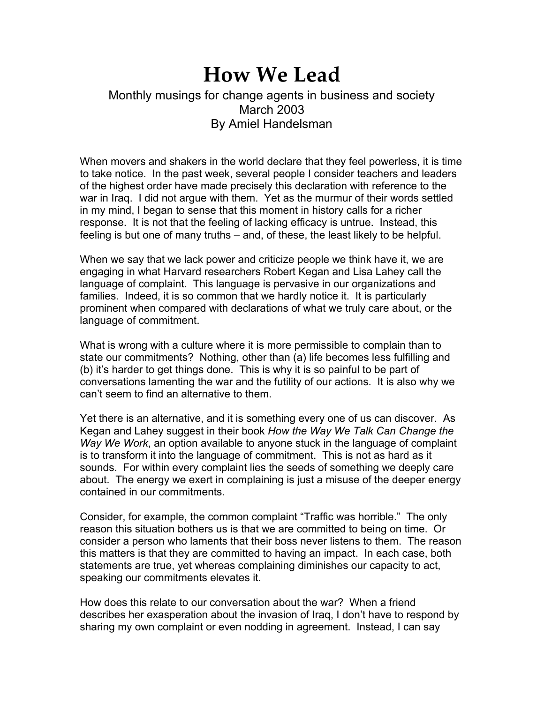## **How We Lead**

## Monthly musings for change agents in business and society March 2003 By Amiel Handelsman

When movers and shakers in the world declare that they feel powerless, it is time to take notice. In the past week, several people I consider teachers and leaders of the highest order have made precisely this declaration with reference to the war in Iraq. I did not argue with them. Yet as the murmur of their words settled in my mind, I began to sense that this moment in history calls for a richer response. It is not that the feeling of lacking efficacy is untrue. Instead, this feeling is but one of many truths – and, of these, the least likely to be helpful.

When we say that we lack power and criticize people we think have it, we are engaging in what Harvard researchers Robert Kegan and Lisa Lahey call the language of complaint. This language is pervasive in our organizations and families. Indeed, it is so common that we hardly notice it. It is particularly prominent when compared with declarations of what we truly care about, or the language of commitment.

What is wrong with a culture where it is more permissible to complain than to state our commitments? Nothing, other than (a) life becomes less fulfilling and (b) it's harder to get things done. This is why it is so painful to be part of conversations lamenting the war and the futility of our actions. It is also why we can't seem to find an alternative to them.

Yet there is an alternative, and it is something every one of us can discover. As Kegan and Lahey suggest in their book *How the Way We Talk Can Change the Way We Work*, an option available to anyone stuck in the language of complaint is to transform it into the language of commitment. This is not as hard as it sounds. For within every complaint lies the seeds of something we deeply care about. The energy we exert in complaining is just a misuse of the deeper energy contained in our commitments.

Consider, for example, the common complaint "Traffic was horrible." The only reason this situation bothers us is that we are committed to being on time. Or consider a person who laments that their boss never listens to them. The reason this matters is that they are committed to having an impact. In each case, both statements are true, yet whereas complaining diminishes our capacity to act, speaking our commitments elevates it.

How does this relate to our conversation about the war? When a friend describes her exasperation about the invasion of Iraq, I don't have to respond by sharing my own complaint or even nodding in agreement. Instead, I can say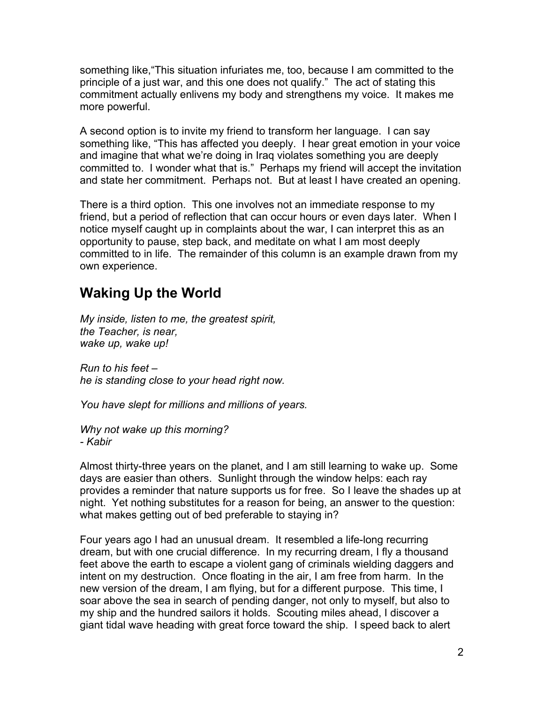something like,"This situation infuriates me, too, because I am committed to the principle of a just war, and this one does not qualify." The act of stating this commitment actually enlivens my body and strengthens my voice. It makes me more powerful.

A second option is to invite my friend to transform her language. I can say something like, "This has affected you deeply. I hear great emotion in your voice and imagine that what we're doing in Iraq violates something you are deeply committed to. I wonder what that is." Perhaps my friend will accept the invitation and state her commitment. Perhaps not. But at least I have created an opening.

There is a third option. This one involves not an immediate response to my friend, but a period of reflection that can occur hours or even days later. When I notice myself caught up in complaints about the war, I can interpret this as an opportunity to pause, step back, and meditate on what I am most deeply committed to in life. The remainder of this column is an example drawn from my own experience.

## **Waking Up the World**

*My inside, listen to me, the greatest spirit, the Teacher, is near, wake up, wake up!*

*Run to his feet – he is standing close to your head right now.*

*You have slept for millions and millions of years.*

*Why not wake up this morning? - Kabir*

Almost thirty-three years on the planet, and I am still learning to wake up. Some days are easier than others. Sunlight through the window helps: each ray provides a reminder that nature supports us for free. So I leave the shades up at night. Yet nothing substitutes for a reason for being, an answer to the question: what makes getting out of bed preferable to staying in?

Four years ago I had an unusual dream. It resembled a life-long recurring dream, but with one crucial difference. In my recurring dream, I fly a thousand feet above the earth to escape a violent gang of criminals wielding daggers and intent on my destruction. Once floating in the air, I am free from harm. In the new version of the dream, I am flying, but for a different purpose. This time, I soar above the sea in search of pending danger, not only to myself, but also to my ship and the hundred sailors it holds. Scouting miles ahead, I discover a giant tidal wave heading with great force toward the ship. I speed back to alert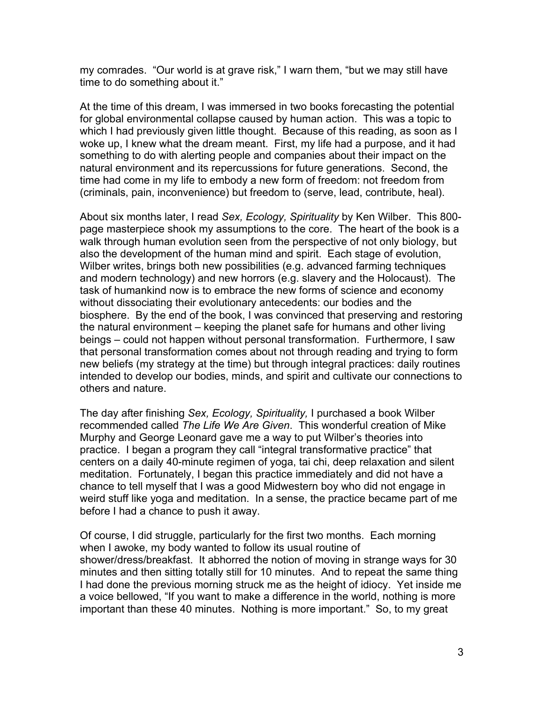my comrades. "Our world is at grave risk," I warn them, "but we may still have time to do something about it."

At the time of this dream, I was immersed in two books forecasting the potential for global environmental collapse caused by human action. This was a topic to which I had previously given little thought. Because of this reading, as soon as I woke up, I knew what the dream meant. First, my life had a purpose, and it had something to do with alerting people and companies about their impact on the natural environment and its repercussions for future generations. Second, the time had come in my life to embody a new form of freedom: not freedom from (criminals, pain, inconvenience) but freedom to (serve, lead, contribute, heal).

About six months later, I read *Sex, Ecology, Spirituality* by Ken Wilber. This 800 page masterpiece shook my assumptions to the core. The heart of the book is a walk through human evolution seen from the perspective of not only biology, but also the development of the human mind and spirit. Each stage of evolution, Wilber writes, brings both new possibilities (e.g. advanced farming techniques and modern technology) and new horrors (e.g. slavery and the Holocaust). The task of humankind now is to embrace the new forms of science and economy without dissociating their evolutionary antecedents: our bodies and the biosphere. By the end of the book, I was convinced that preserving and restoring the natural environment – keeping the planet safe for humans and other living beings – could not happen without personal transformation. Furthermore, I saw that personal transformation comes about not through reading and trying to form new beliefs (my strategy at the time) but through integral practices: daily routines intended to develop our bodies, minds, and spirit and cultivate our connections to others and nature.

The day after finishing *Sex, Ecology, Spirituality,* I purchased a book Wilber recommended called *The Life We Are Given*. This wonderful creation of Mike Murphy and George Leonard gave me a way to put Wilber's theories into practice. I began a program they call "integral transformative practice" that centers on a daily 40-minute regimen of yoga, tai chi, deep relaxation and silent meditation. Fortunately, I began this practice immediately and did not have a chance to tell myself that I was a good Midwestern boy who did not engage in weird stuff like yoga and meditation. In a sense, the practice became part of me before I had a chance to push it away.

Of course, I did struggle, particularly for the first two months. Each morning when I awoke, my body wanted to follow its usual routine of shower/dress/breakfast. It abhorred the notion of moving in strange ways for 30 minutes and then sitting totally still for 10 minutes. And to repeat the same thing I had done the previous morning struck me as the height of idiocy. Yet inside me a voice bellowed, "If you want to make a difference in the world, nothing is more important than these 40 minutes. Nothing is more important." So, to my great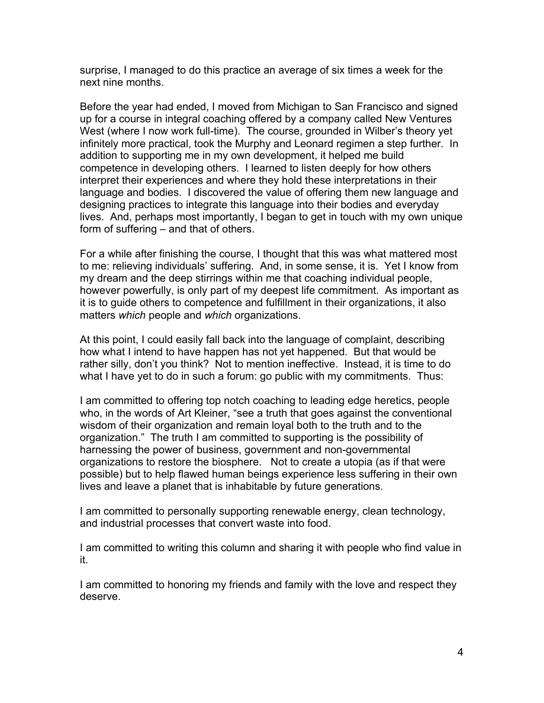surprise, I managed to do this practice an average of six times a week for the next nine months.

Before the year had ended, I moved from Michigan to San Francisco and signed up for a course in integral coaching offered by a company called New Ventures West (where I now work full-time). The course, grounded in Wilber's theory yet infinitely more practical, took the Murphy and Leonard regimen a step further. In addition to supporting me in my own development, it helped me build competence in developing others. I learned to listen deeply for how others interpret their experiences and where they hold these interpretations in their language and bodies. I discovered the value of offering them new language and designing practices to integrate this language into their bodies and everyday lives. And, perhaps most importantly, I began to get in touch with my own unique form of suffering – and that of others.

For a while after finishing the course, I thought that this was what mattered most to me: relieving individuals' suffering. And, in some sense, it is. Yet I know from my dream and the deep stirrings within me that coaching individual people, however powerfully, is only part of my deepest life commitment. As important as it is to guide others to competence and fulfillment in their organizations, it also matters *which* people and *which* organizations.

At this point, I could easily fall back into the language of complaint, describing how what I intend to have happen has not yet happened. But that would be rather silly, don't you think? Not to mention ineffective. Instead, it is time to do what I have yet to do in such a forum: go public with my commitments. Thus:

I am committed to offering top notch coaching to leading edge heretics, people who, in the words of Art Kleiner, "see a truth that goes against the conventional wisdom of their organization and remain loyal both to the truth and to the organization." The truth I am committed to supporting is the possibility of harnessing the power of business, government and non-governmental organizations to restore the biosphere. Not to create a utopia (as if that were possible) but to help flawed human beings experience less suffering in their own lives and leave a planet that is inhabitable by future generations.

I am committed to personally supporting renewable energy, clean technology, and industrial processes that convert waste into food.

I am committed to writing this column and sharing it with people who find value in it.

I am committed to honoring my friends and family with the love and respect they deserve.